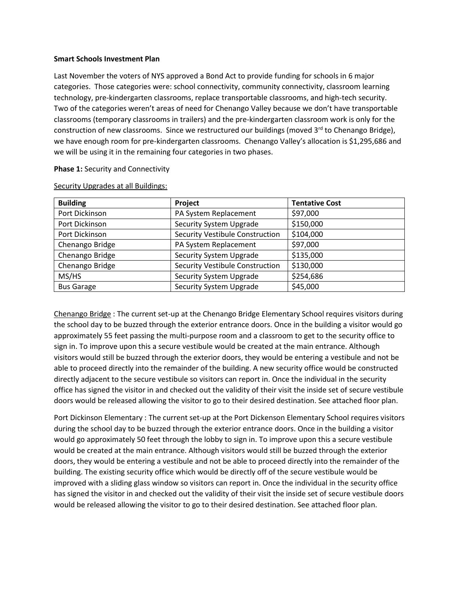## **Smart Schools Investment Plan**

Last November the voters of NYS approved a Bond Act to provide funding for schools in 6 major categories. Those categories were: school connectivity, community connectivity, classroom learning technology, pre-kindergarten classrooms, replace transportable classrooms, and high-tech security. Two of the categories weren't areas of need for Chenango Valley because we don't have transportable classrooms (temporary classrooms in trailers) and the pre-kindergarten classroom work is only for the construction of new classrooms. Since we restructured our buildings (moved  $3^{rd}$  to Chenango Bridge), we have enough room for pre-kindergarten classrooms. Chenango Valley's allocation is \$1,295,686 and we will be using it in the remaining four categories in two phases.

## **Phase 1: Security and Connectivity**

| <b>Building</b>   | Project                                | <b>Tentative Cost</b> |
|-------------------|----------------------------------------|-----------------------|
| Port Dickinson    | PA System Replacement                  | \$97,000              |
| Port Dickinson    | <b>Security System Upgrade</b>         | \$150,000             |
| Port Dickinson    | <b>Security Vestibule Construction</b> | \$104,000             |
| Chenango Bridge   | PA System Replacement                  | \$97,000              |
| Chenango Bridge   | <b>Security System Upgrade</b>         | \$135,000             |
| Chenango Bridge   | Security Vestibule Construction        | \$130,000             |
| MS/HS             | <b>Security System Upgrade</b>         | \$254,686             |
| <b>Bus Garage</b> | <b>Security System Upgrade</b>         | \$45,000              |

Security Upgrades at all Buildings:

Chenango Bridge : The current set-up at the Chenango Bridge Elementary School requires visitors during the school day to be buzzed through the exterior entrance doors. Once in the building a visitor would go approximately 55 feet passing the multi-purpose room and a classroom to get to the security office to sign in. To improve upon this a secure vestibule would be created at the main entrance. Although visitors would still be buzzed through the exterior doors, they would be entering a vestibule and not be able to proceed directly into the remainder of the building. A new security office would be constructed directly adjacent to the secure vestibule so visitors can report in. Once the individual in the security office has signed the visitor in and checked out the validity of their visit the inside set of secure vestibule doors would be released allowing the visitor to go to their desired destination. See attached floor plan.

Port Dickinson Elementary : The current set-up at the Port Dickenson Elementary School requires visitors during the school day to be buzzed through the exterior entrance doors. Once in the building a visitor would go approximately 50 feet through the lobby to sign in. To improve upon this a secure vestibule would be created at the main entrance. Although visitors would still be buzzed through the exterior doors, they would be entering a vestibule and not be able to proceed directly into the remainder of the building. The existing security office which would be directly off of the secure vestibule would be improved with a sliding glass window so visitors can report in. Once the individual in the security office has signed the visitor in and checked out the validity of their visit the inside set of secure vestibule doors would be released allowing the visitor to go to their desired destination. See attached floor plan.